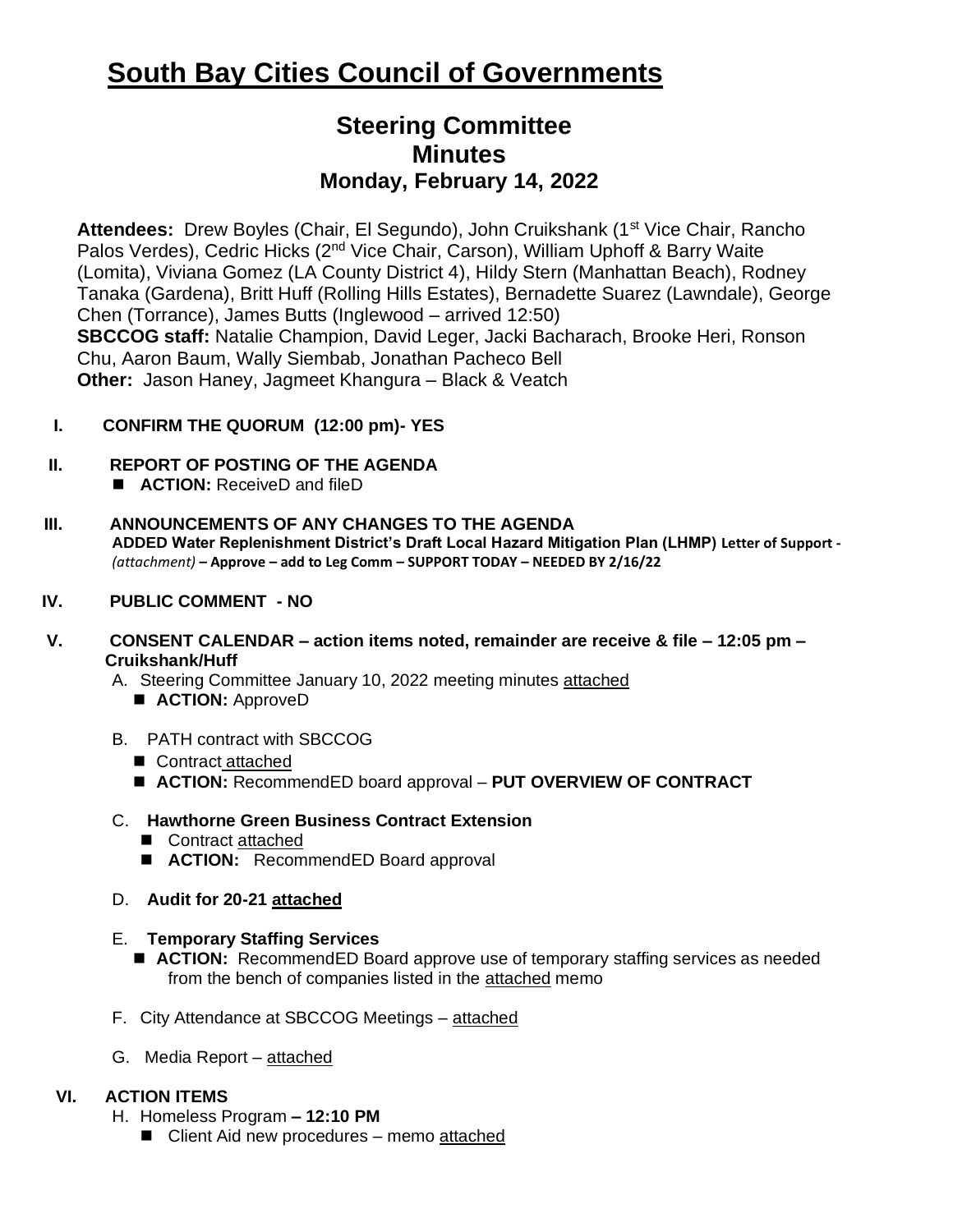# **South Bay Cities Council of Governments**

## **Steering Committee Minutes Monday, February 14, 2022**

Attendees: Drew Boyles (Chair, El Segundo), John Cruikshank (1<sup>st</sup> Vice Chair, Rancho Palos Verdes), Cedric Hicks (2nd Vice Chair, Carson), William Uphoff & Barry Waite (Lomita), Viviana Gomez (LA County District 4), Hildy Stern (Manhattan Beach), Rodney Tanaka (Gardena), Britt Huff (Rolling Hills Estates), Bernadette Suarez (Lawndale), George Chen (Torrance), James Butts (Inglewood – arrived 12:50) **SBCCOG staff:** Natalie Champion, David Leger, Jacki Bacharach, Brooke Heri, Ronson Chu, Aaron Baum, Wally Siembab, Jonathan Pacheco Bell **Other:**Jason Haney, Jagmeet Khangura – Black & Veatch

#### **I. CONFIRM THE QUORUM (12:00 pm)- YES**

#### **II. REPORT OF POSTING OF THE AGENDA**

- **ACTION:** ReceiveD and fileD
- **III. ANNOUNCEMENTS OF ANY CHANGES TO THE AGENDA ADDED Water Replenishment District's Draft Local Hazard Mitigation Plan (LHMP) Letter of Support -** *(attachment)* **– Approve – add to Leg Comm – SUPPORT TODAY – NEEDED BY 2/16/22**

#### **IV. PUBLIC COMMENT - NO**

- **V. CONSENT CALENDAR – action items noted, remainder are receive & file – 12:05 pm – Cruikshank/Huff**
	- A. Steering Committee January 10, 2022 meeting minutes attached
		- **ACTION:** ApproveD
	- B. PATH contract with SBCCOG
		- Contract attached
		- **ACTION:** RecommendED board approval PUT OVERVIEW OF CONTRACT
	- C. **Hawthorne Green Business Contract Extension**
		- Contract attached
		- **ACTION:** RecommendED Board approval
	- D. **Audit for 20-21 attached**

#### E. **Temporary Staffing Services**

- **ACTION:** RecommendED Board approve use of temporary staffing services as needed from the bench of companies listed in the attached memo
- F. City Attendance at SBCCOG Meetings attached
- G. Media Report attached

### **VI. ACTION ITEMS**

- H. Homeless Program **– 12:10 PM**
	- Client Aid new procedures memo attached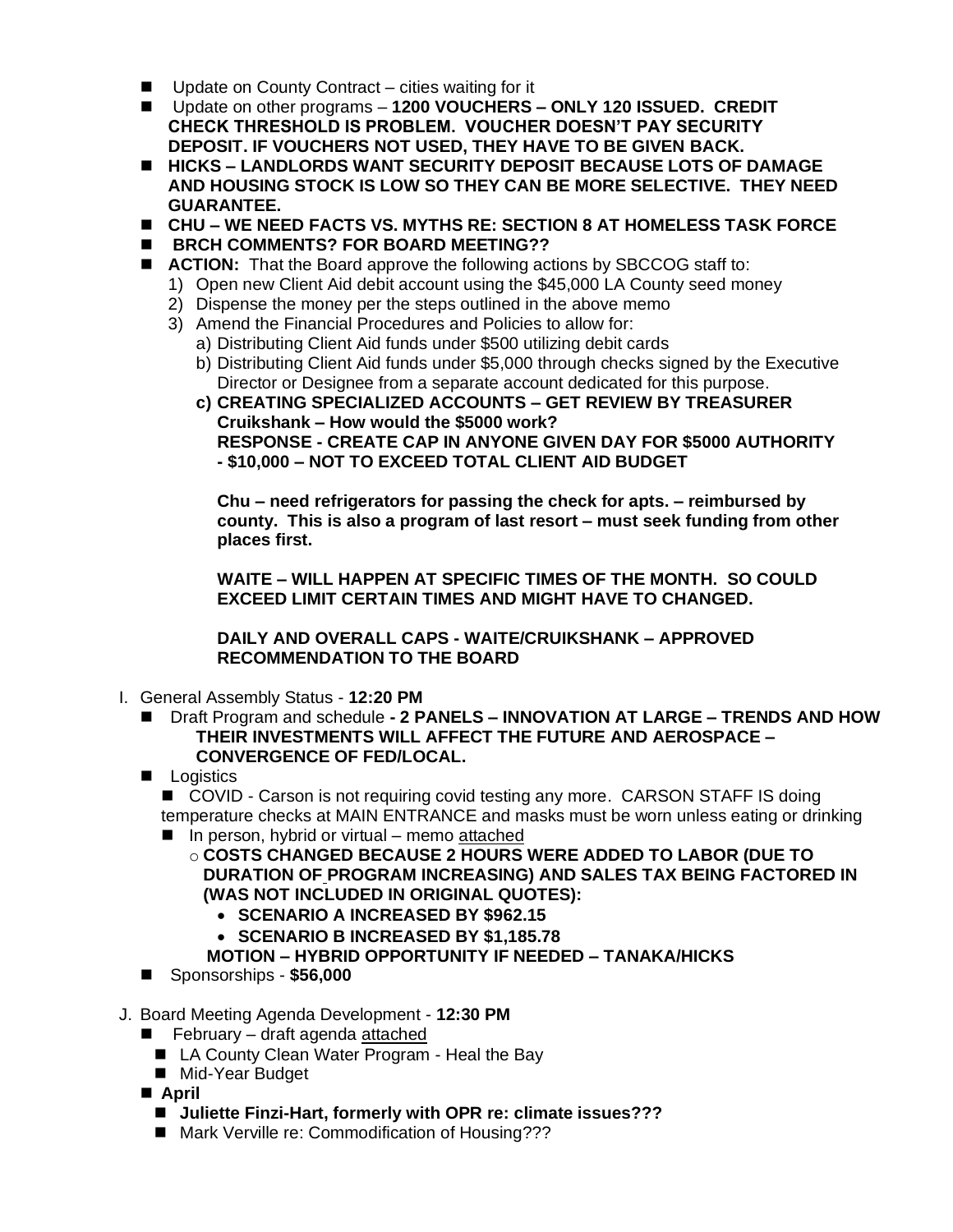- Update on County Contract cities waiting for it
- Update on other programs 1200 VOUCHERS ONLY 120 ISSUED. CREDIT **CHECK THRESHOLD IS PROBLEM. VOUCHER DOESN'T PAY SECURITY DEPOSIT. IF VOUCHERS NOT USED, THEY HAVE TO BE GIVEN BACK.**
- ◼ **HICKS – LANDLORDS WANT SECURITY DEPOSIT BECAUSE LOTS OF DAMAGE AND HOUSING STOCK IS LOW SO THEY CAN BE MORE SELECTIVE. THEY NEED GUARANTEE.**
- ◼ **CHU – WE NEED FACTS VS. MYTHS RE: SECTION 8 AT HOMELESS TASK FORCE**
- ◼ **BRCH COMMENTS? FOR BOARD MEETING??**
- **ACTION:** That the Board approve the following actions by SBCCOG staff to:
	- 1) Open new Client Aid debit account using the \$45,000 LA County seed money
	- 2) Dispense the money per the steps outlined in the above memo
	- 3) Amend the Financial Procedures and Policies to allow for:
		- a) Distributing Client Aid funds under \$500 utilizing debit cards
		- b) Distributing Client Aid funds under \$5,000 through checks signed by the Executive Director or Designee from a separate account dedicated for this purpose.
		- **c) CREATING SPECIALIZED ACCOUNTS – GET REVIEW BY TREASURER Cruikshank – How would the \$5000 work? RESPONSE - CREATE CAP IN ANYONE GIVEN DAY FOR \$5000 AUTHORITY - \$10,000 – NOT TO EXCEED TOTAL CLIENT AID BUDGET**

**Chu – need refrigerators for passing the check for apts. – reimbursed by county. This is also a program of last resort – must seek funding from other places first.**

**WAITE – WILL HAPPEN AT SPECIFIC TIMES OF THE MONTH. SO COULD EXCEED LIMIT CERTAIN TIMES AND MIGHT HAVE TO CHANGED.** 

**DAILY AND OVERALL CAPS - WAITE/CRUIKSHANK – APPROVED RECOMMENDATION TO THE BOARD**

- I. General Assembly Status **12:20 PM** 
	- Draft Program and schedule  **2 PANELS INNOVATION AT LARGE TRENDS AND HOW THEIR INVESTMENTS WILL AFFECT THE FUTURE AND AEROSPACE – CONVERGENCE OF FED/LOCAL.**
	- Logistics

■ COVID - Carson is not requiring covid testing any more. CARSON STAFF IS doing temperature checks at MAIN ENTRANCE and masks must be worn unless eating or drinking

- In person, hybrid or virtual memo attached
	- o **COSTS CHANGED BECAUSE 2 HOURS WERE ADDED TO LABOR (DUE TO DURATION OF PROGRAM INCREASING) AND SALES TAX BEING FACTORED IN (WAS NOT INCLUDED IN ORIGINAL QUOTES):**
		- **SCENARIO A INCREASED BY \$962.15**
		- **SCENARIO B INCREASED BY \$1,185.78**
		- **MOTION – HYBRID OPPORTUNITY IF NEEDED – TANAKA/HICKS**
- **Sponsorships \$56,000**
- J. Board Meeting Agenda Development **12:30 PM** 
	- $\blacksquare$  February draft agenda attached
		- LA County Clean Water Program Heal the Bay
		- Mid-Year Budget
	- April
		- Juliette Finzi-Hart, formerly with OPR re: climate issues???
		- Mark Verville re: Commodification of Housing???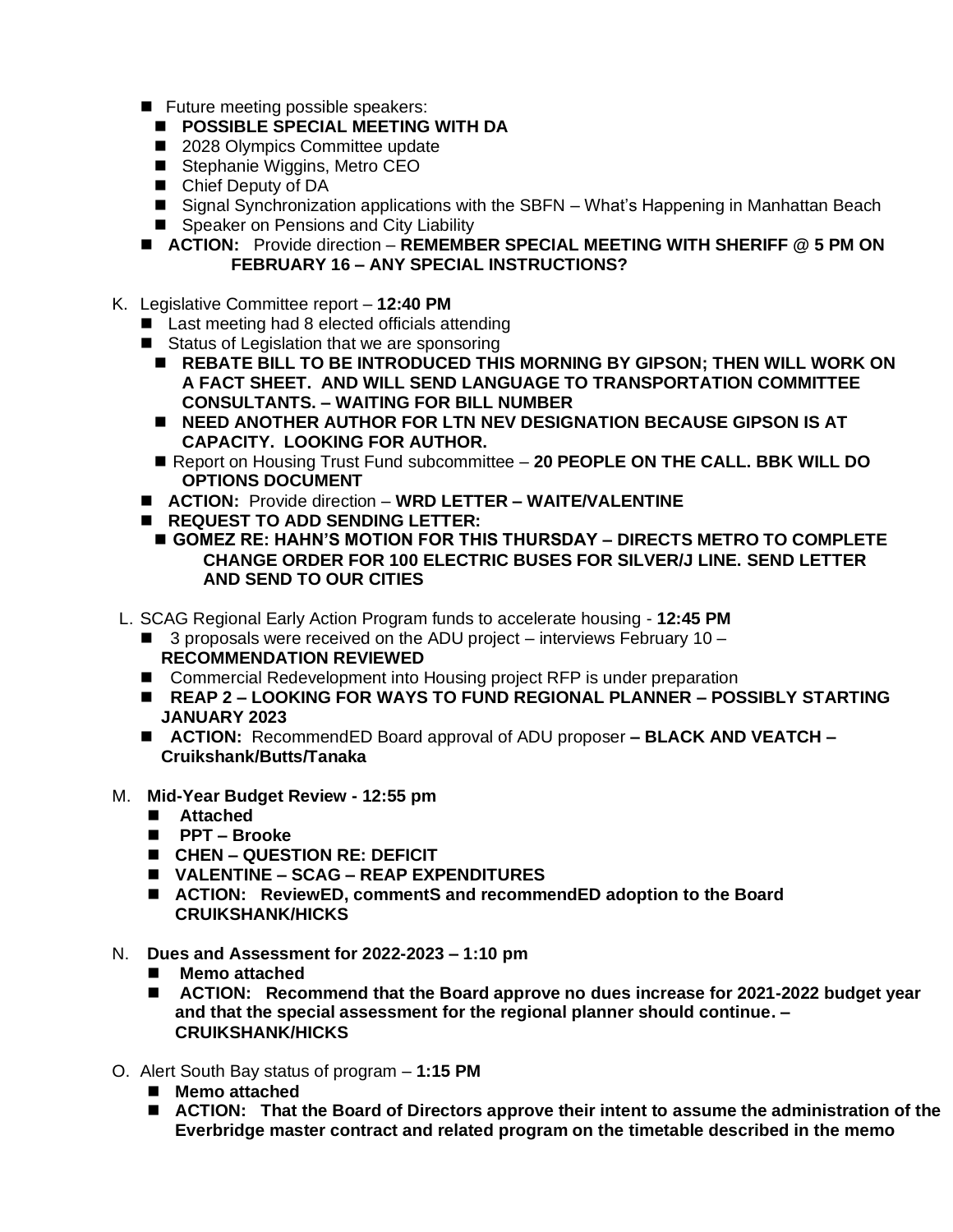- Future meeting possible speakers:
	- ◼ **POSSIBLE SPECIAL MEETING WITH DA**
	- 2028 Olympics Committee update
	- Stephanie Wiggins, Metro CEO
	- Chief Deputy of DA
	- Signal Synchronization applications with the SBFN What's Happening in Manhattan Beach
	- Speaker on Pensions and City Liability
- **ACTION:** Provide direction **REMEMBER SPECIAL MEETING WITH SHERIFF @ 5 PM ON FEBRUARY 16 – ANY SPECIAL INSTRUCTIONS?**
- K. Legislative Committee report **12:40 PM**
	- Last meeting had 8 elected officials attending
	- Status of Legislation that we are sponsoring
		- REBATE BILL TO BE INTRODUCED THIS MORNING BY GIPSON; THEN WILL WORK ON **A FACT SHEET. AND WILL SEND LANGUAGE TO TRANSPORTATION COMMITTEE CONSULTANTS. – WAITING FOR BILL NUMBER**
		- **NEED ANOTHER AUTHOR FOR LTN NEV DESIGNATION BECAUSE GIPSON IS AT CAPACITY. LOOKING FOR AUTHOR.**
		- Report on Housing Trust Fund subcommittee 20 PEOPLE ON THE CALL. BBK WILL DO **OPTIONS DOCUMENT**
	- ◼ **ACTION:** Provide direction **WRD LETTER – WAITE/VALENTINE**
	- **REQUEST TO ADD SENDING LETTER:** 
		- ◼ **GOMEZ RE: HAHN'S MOTION FOR THIS THURSDAY – DIRECTS METRO TO COMPLETE CHANGE ORDER FOR 100 ELECTRIC BUSES FOR SILVER/J LINE. SEND LETTER AND SEND TO OUR CITIES**
- L. SCAG Regional Early Action Program funds to accelerate housing **12:45 PM** 
	- $\blacksquare$  3 proposals were received on the ADU project interviews February 10 **RECOMMENDATION REVIEWED**
	- Commercial Redevelopment into Housing project RFP is under preparation
	- ◼ **REAP 2 – LOOKING FOR WAYS TO FUND REGIONAL PLANNER – POSSIBLY STARTING JANUARY 2023**
	- **ACTION:** RecommendED Board approval of ADU proposer **BLACK AND VEATCH Cruikshank/Butts/Tanaka**
- M. **Mid-Year Budget Review - 12:55 pm**
	- **Attached**
	- ◼ **PPT – Brooke**
	- ◼ **CHEN – QUESTION RE: DEFICIT**
	- ◼ **VALENTINE – SCAG – REAP EXPENDITURES**
	- ACTION: ReviewED, commentS and recommendED adoption to the Board **CRUIKSHANK/HICKS**
- N. **Dues and Assessment for 2022-2023 – 1:10 pm**
	- Memo attached
	- ACTION: Recommend that the Board approve no dues increase for 2021-2022 budget year **and that the special assessment for the regional planner should continue. – CRUIKSHANK/HICKS**
- O. Alert South Bay status of program **1:15 PM**
	- Memo attached
	- ACTION: That the Board of Directors approve their intent to assume the administration of the **Everbridge master contract and related program on the timetable described in the memo**